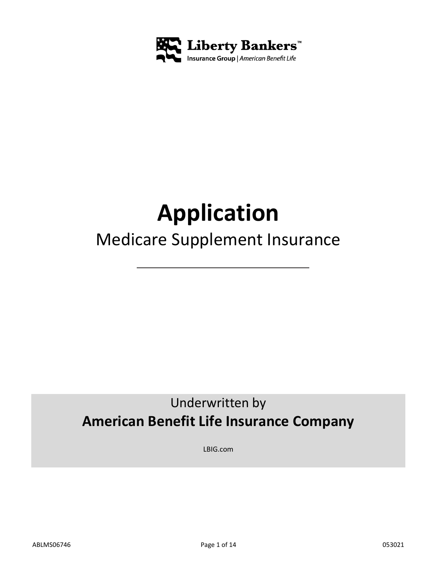

# **Application**

# Medicare Supplement Insurance

## Underwritten by **American Benefit Life Insurance Company**

LBIG.com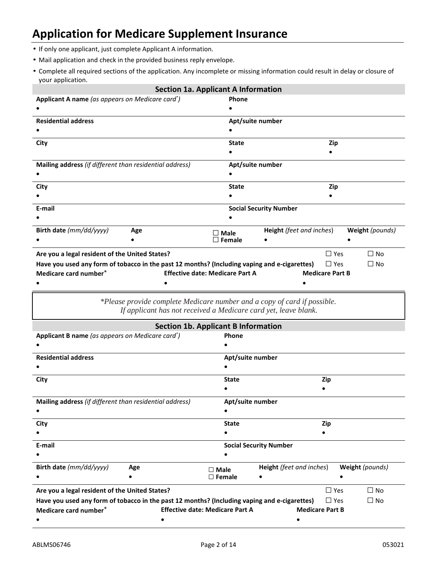### **Application for Medicare Supplement Insurance**

- If only one applicant, just complete Applicant A information.
- Mail application and check in the provided business reply envelope.
- Complete all required sections of the application. Any incomplete or missing information could result in delay or closure of your application.

|                                                                                              | <b>Section 1a. Applicant A Information</b> |                                 |                        |                 |
|----------------------------------------------------------------------------------------------|--------------------------------------------|---------------------------------|------------------------|-----------------|
| Applicant A name (as appears on Medicare card*)                                              | Phone                                      |                                 |                        |                 |
|                                                                                              |                                            |                                 |                        |                 |
| <b>Residential address</b>                                                                   | Apt/suite number                           |                                 |                        |                 |
|                                                                                              |                                            |                                 |                        |                 |
| City                                                                                         | <b>State</b>                               |                                 | Zip                    |                 |
|                                                                                              |                                            |                                 |                        |                 |
| Mailing address (if different than residential address)                                      |                                            | Apt/suite number                |                        |                 |
|                                                                                              |                                            |                                 |                        |                 |
| City                                                                                         | <b>State</b>                               |                                 | Zip                    |                 |
|                                                                                              |                                            |                                 |                        |                 |
| E-mail                                                                                       |                                            | <b>Social Security Number</b>   |                        |                 |
|                                                                                              |                                            |                                 |                        |                 |
| Birth date (mm/dd/yyyy)<br>Age                                                               | $\square$ Male                             | <b>Height</b> (feet and inches) |                        | Weight (pounds) |
|                                                                                              | $\square$ Female                           |                                 |                        |                 |
| Are you a legal resident of the United States?                                               |                                            |                                 | $\Box$ Yes             | $\Box$ No       |
| Have you used any form of tobacco in the past 12 months? (Including vaping and e-cigarettes) |                                            |                                 | $\Box$ Yes             | $\Box$ No       |
| Medicare card number*                                                                        | <b>Effective date: Medicare Part A</b>     |                                 | <b>Medicare Part B</b> |                 |
|                                                                                              |                                            |                                 |                        |                 |

*\*Please provide complete Medicare number and a copy of card if possible. If applicant has not received a Medicare card yet, leave blank.*

|                                                                                              |     | <b>Section 1b. Applicant B Information</b> |                                 |            |                 |
|----------------------------------------------------------------------------------------------|-----|--------------------------------------------|---------------------------------|------------|-----------------|
| Applicant B name (as appears on Medicare card*)                                              |     | <b>Phone</b>                               |                                 |            |                 |
|                                                                                              |     |                                            |                                 |            |                 |
| <b>Residential address</b>                                                                   |     | Apt/suite number                           |                                 |            |                 |
|                                                                                              |     |                                            |                                 |            |                 |
| City                                                                                         |     | <b>State</b>                               |                                 | Zip        |                 |
|                                                                                              |     |                                            |                                 |            |                 |
| Mailing address (if different than residential address)                                      |     | Apt/suite number                           |                                 |            |                 |
|                                                                                              |     |                                            |                                 |            |                 |
| City                                                                                         |     | <b>State</b>                               |                                 | Zip        |                 |
|                                                                                              |     |                                            |                                 |            |                 |
| E-mail                                                                                       |     |                                            | <b>Social Security Number</b>   |            |                 |
|                                                                                              |     |                                            |                                 |            |                 |
| Birth date (mm/dd/yyyy)                                                                      | Age | $\Box$ Male                                | <b>Height</b> (feet and inches) |            | Weight (pounds) |
|                                                                                              |     | $\Box$ Female                              |                                 |            |                 |
| Are you a legal resident of the United States?                                               |     |                                            |                                 | $\Box$ Yes | $\Box$ No       |
| Have you used any form of tobacco in the past 12 months? (Including vaping and e-cigarettes) |     |                                            |                                 | $\Box$ Yes | $\square$ No    |
| Medicare card number*                                                                        |     | <b>Effective date: Medicare Part A</b>     | <b>Medicare Part B</b>          |            |                 |
|                                                                                              |     |                                            |                                 |            |                 |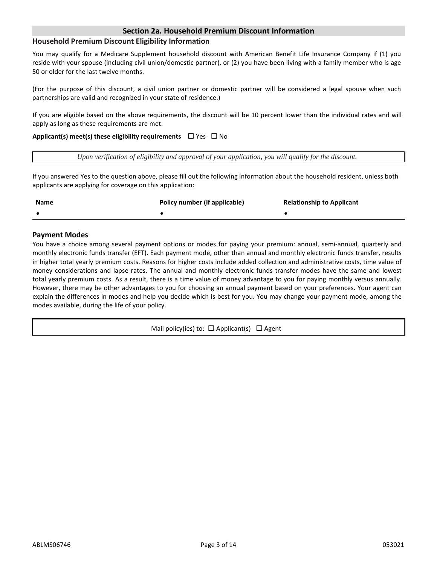#### **Section 2a. Household Premium Discount Information**

#### **Household Premium Discount Eligibility Information**

You may qualify for a Medicare Supplement household discount with American Benefit Life Insurance Company if (1) you reside with your spouse (including civil union/domestic partner), or (2) you have been living with a family member who is age 50 or older for the last twelve months.

(For the purpose of this discount, a civil union partner or domestic partner will be considered a legal spouse when such partnerships are valid and recognized in your state of residence.)

If you are eligible based on the above requirements, the discount will be 10 percent lower than the individual rates and will apply as long as these requirements are met.

#### **Applicant(s) meet(s) these eligibility requirements**  $□$  Yes  $□$  No

*Upon verification of eligibility and approval of your application, you will qualify for the discount.*

If you answered Yes to the question above, please fill out the following information about the household resident, unless both applicants are applying for coverage on this application:

| <b>Name</b> | Policy number (if applicable) | <b>Relationship to Applicant</b> |
|-------------|-------------------------------|----------------------------------|
|             |                               |                                  |

#### **Payment Modes**

You have a choice among several payment options or modes for paying your premium: annual, semi-annual, quarterly and monthly electronic funds transfer (EFT). Each payment mode, other than annual and monthly electronic funds transfer, results in higher total yearly premium costs. Reasons for higher costs include added collection and administrative costs, time value of money considerations and lapse rates. The annual and monthly electronic funds transfer modes have the same and lowest total yearly premium costs. As a result, there is a time value of money advantage to you for paying monthly versus annually. However, there may be other advantages to you for choosing an annual payment based on your preferences. Your agent can explain the differences in modes and help you decide which is best for you. You may change your payment mode, among the modes available, during the life of your policy.

Mail policy(ies) to:  $\Box$  Applicant(s)  $\Box$  Agent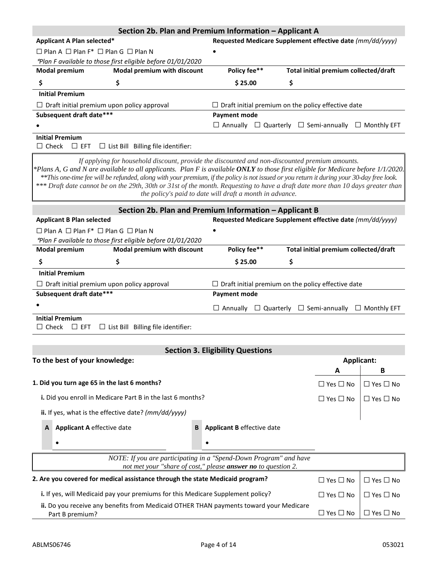|                                                                                                                                                                                                                                                                                                                                                                                                                   | Section 2b. Plan and Premium Information - Applicant A                                                                                                     |                                       |                      |
|-------------------------------------------------------------------------------------------------------------------------------------------------------------------------------------------------------------------------------------------------------------------------------------------------------------------------------------------------------------------------------------------------------------------|------------------------------------------------------------------------------------------------------------------------------------------------------------|---------------------------------------|----------------------|
| Applicant A Plan selected*                                                                                                                                                                                                                                                                                                                                                                                        | Requested Medicare Supplement effective date (mm/dd/yyyy)                                                                                                  |                                       |                      |
| $\Box$ Plan A $\Box$ Plan F* $\Box$ Plan G $\Box$ Plan N                                                                                                                                                                                                                                                                                                                                                          |                                                                                                                                                            |                                       |                      |
| *Plan F available to those first eligible before 01/01/2020                                                                                                                                                                                                                                                                                                                                                       |                                                                                                                                                            |                                       |                      |
| Modal premium with discount<br><b>Modal premium</b>                                                                                                                                                                                                                                                                                                                                                               | Policy fee**                                                                                                                                               | Total initial premium collected/draft |                      |
| \$<br>\$                                                                                                                                                                                                                                                                                                                                                                                                          | \$25.00<br>\$                                                                                                                                              |                                       |                      |
| <b>Initial Premium</b>                                                                                                                                                                                                                                                                                                                                                                                            |                                                                                                                                                            |                                       |                      |
| $\Box$ Draft initial premium upon policy approval                                                                                                                                                                                                                                                                                                                                                                 | $\Box$ Draft initial premium on the policy effective date                                                                                                  |                                       |                      |
| Subsequent draft date***                                                                                                                                                                                                                                                                                                                                                                                          | <b>Payment mode</b>                                                                                                                                        |                                       |                      |
|                                                                                                                                                                                                                                                                                                                                                                                                                   | $\Box$ Annually<br>$\Box$ Quarterly $\Box$ Semi-annually $\Box$ Monthly EFT                                                                                |                                       |                      |
| <b>Initial Premium</b><br>$\Box$ Check<br>$\Box$ EFT<br>$\Box$ List Bill Billing file identifier:                                                                                                                                                                                                                                                                                                                 |                                                                                                                                                            |                                       |                      |
| *Plans A, G and N are available to all applicants. Plan F is available ONLY to those first eligible for Medicare before 1/1/2020.<br>**This one-time fee will be refunded, along with your premium, if the policy is not issued or you return it during your 30-day free look.<br>*** Draft date cannot be on the 29th, 30th or 31st of the month. Requesting to have a draft date more than 10 days greater than | If applying for household discount, provide the discounted and non-discounted premium amounts.<br>the policy's paid to date will draft a month in advance. |                                       |                      |
|                                                                                                                                                                                                                                                                                                                                                                                                                   | Section 2b. Plan and Premium Information - Applicant B                                                                                                     |                                       |                      |
| <b>Applicant B Plan selected</b>                                                                                                                                                                                                                                                                                                                                                                                  | Requested Medicare Supplement effective date (mm/dd/yyyy)                                                                                                  |                                       |                      |
| $\Box$ Plan A $\Box$ Plan F* $\Box$ Plan G $\Box$ Plan N                                                                                                                                                                                                                                                                                                                                                          |                                                                                                                                                            |                                       |                      |
| *Plan F available to those first eligible before 01/01/2020                                                                                                                                                                                                                                                                                                                                                       |                                                                                                                                                            |                                       |                      |
| Modal premium with discount<br><b>Modal premium</b>                                                                                                                                                                                                                                                                                                                                                               | Policy fee**                                                                                                                                               | Total initial premium collected/draft |                      |
| \$<br>\$                                                                                                                                                                                                                                                                                                                                                                                                          | \$<br>\$25.00                                                                                                                                              |                                       |                      |
| <b>Initial Premium</b>                                                                                                                                                                                                                                                                                                                                                                                            |                                                                                                                                                            |                                       |                      |
| $\Box$ Draft initial premium upon policy approval                                                                                                                                                                                                                                                                                                                                                                 | $\Box$ Draft initial premium on the policy effective date                                                                                                  |                                       |                      |
| Subsequent draft date***                                                                                                                                                                                                                                                                                                                                                                                          | <b>Payment mode</b>                                                                                                                                        |                                       |                      |
|                                                                                                                                                                                                                                                                                                                                                                                                                   | $\Box$ Quarterly $\Box$ Semi-annually $\Box$ Monthly EFT<br>$\Box$ Annually                                                                                |                                       |                      |
| <b>Initial Premium</b>                                                                                                                                                                                                                                                                                                                                                                                            |                                                                                                                                                            |                                       |                      |
| $\Box$ Check<br>$\Box$ List Bill Billing file identifier:<br>$\Box$ EFT                                                                                                                                                                                                                                                                                                                                           |                                                                                                                                                            |                                       |                      |
|                                                                                                                                                                                                                                                                                                                                                                                                                   |                                                                                                                                                            |                                       |                      |
|                                                                                                                                                                                                                                                                                                                                                                                                                   | <b>Section 3. Eligibility Questions</b>                                                                                                                    |                                       |                      |
| To the best of your knowledge:                                                                                                                                                                                                                                                                                                                                                                                    |                                                                                                                                                            | <b>Applicant:</b>                     |                      |
|                                                                                                                                                                                                                                                                                                                                                                                                                   |                                                                                                                                                            | A                                     | в                    |
| 1. Did you turn age 65 in the last 6 months?                                                                                                                                                                                                                                                                                                                                                                      |                                                                                                                                                            | $\Box$ Yes $\Box$ No                  | $\Box$ Yes $\Box$ No |
| i. Did you enroll in Medicare Part B in the last 6 months?                                                                                                                                                                                                                                                                                                                                                        |                                                                                                                                                            | $\Box$ Yes $\Box$ No                  | $\Box$ Yes $\Box$ No |
| ii. If yes, what is the effective date? (mm/dd/yyyy)                                                                                                                                                                                                                                                                                                                                                              |                                                                                                                                                            |                                       |                      |
| <b>Applicant A effective date</b><br>A                                                                                                                                                                                                                                                                                                                                                                            | <b>Applicant B</b> effective date<br>B                                                                                                                     |                                       |                      |
|                                                                                                                                                                                                                                                                                                                                                                                                                   |                                                                                                                                                            |                                       |                      |
| ٠                                                                                                                                                                                                                                                                                                                                                                                                                 |                                                                                                                                                            |                                       |                      |
|                                                                                                                                                                                                                                                                                                                                                                                                                   | NOTE: If you are participating in a "Spend-Down Program" and have<br>not met your "share of cost," please answer no to question 2.                         |                                       |                      |
| 2. Are you covered for medical assistance through the state Medicaid program?                                                                                                                                                                                                                                                                                                                                     |                                                                                                                                                            | $\Box$ Yes $\Box$ No                  | $\Box$ Yes $\Box$ No |
| i. If yes, will Medicaid pay your premiums for this Medicare Supplement policy?                                                                                                                                                                                                                                                                                                                                   |                                                                                                                                                            | $\Box$ Yes $\Box$ No                  | $\Box$ Yes $\Box$ No |
| ii. Do you receive any benefits from Medicaid OTHER THAN payments toward your Medicare                                                                                                                                                                                                                                                                                                                            |                                                                                                                                                            |                                       |                      |
| Part B premium?                                                                                                                                                                                                                                                                                                                                                                                                   |                                                                                                                                                            | $\Box$ Yes $\Box$ No                  | $\Box$ Yes $\Box$ No |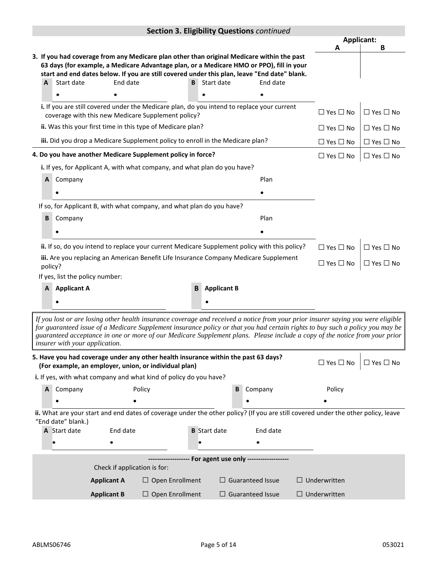|                                                    | Section 3. Eligibility Questions continued                                                                                                                                                                                                                                                                                                                                                                                        |                    |                                 |                                                                                                                                                                                          |                     |   |                                                    |                            |                      |
|----------------------------------------------------|-----------------------------------------------------------------------------------------------------------------------------------------------------------------------------------------------------------------------------------------------------------------------------------------------------------------------------------------------------------------------------------------------------------------------------------|--------------------|---------------------------------|------------------------------------------------------------------------------------------------------------------------------------------------------------------------------------------|---------------------|---|----------------------------------------------------|----------------------------|----------------------|
|                                                    |                                                                                                                                                                                                                                                                                                                                                                                                                                   |                    |                                 |                                                                                                                                                                                          |                     |   |                                                    | <b>Applicant:</b><br>А     | В                    |
|                                                    |                                                                                                                                                                                                                                                                                                                                                                                                                                   |                    |                                 | 3. If you had coverage from any Medicare plan other than original Medicare within the past                                                                                               |                     |   |                                                    |                            |                      |
|                                                    |                                                                                                                                                                                                                                                                                                                                                                                                                                   |                    |                                 | 63 days (for example, a Medicare Advantage plan, or a Medicare HMO or PPO), fill in your<br>start and end dates below. If you are still covered under this plan, leave "End date" blank. |                     |   |                                                    |                            |                      |
|                                                    | A                                                                                                                                                                                                                                                                                                                                                                                                                                 | Start date         | End date                        | B                                                                                                                                                                                        | Start date          |   | End date                                           |                            |                      |
|                                                    |                                                                                                                                                                                                                                                                                                                                                                                                                                   |                    |                                 |                                                                                                                                                                                          |                     |   |                                                    |                            |                      |
|                                                    |                                                                                                                                                                                                                                                                                                                                                                                                                                   |                    |                                 | i. If you are still covered under the Medicare plan, do you intend to replace your current<br>coverage with this new Medicare Supplement policy?                                         |                     |   |                                                    | $\Box$ Yes $\Box$ No       | $\Box$ Yes $\Box$ No |
|                                                    |                                                                                                                                                                                                                                                                                                                                                                                                                                   |                    |                                 | ii. Was this your first time in this type of Medicare plan?                                                                                                                              |                     |   |                                                    | $\Box$ Yes $\Box$ No       | $\Box$ Yes $\Box$ No |
|                                                    |                                                                                                                                                                                                                                                                                                                                                                                                                                   |                    |                                 | iii. Did you drop a Medicare Supplement policy to enroll in the Medicare plan?                                                                                                           |                     |   |                                                    | $\Box$ Yes $\Box$ No       | $\Box$ Yes $\Box$ No |
|                                                    |                                                                                                                                                                                                                                                                                                                                                                                                                                   |                    |                                 | 4. Do you have another Medicare Supplement policy in force?                                                                                                                              |                     |   |                                                    | $\square$ Yes $\square$ No | $\Box$ Yes $\Box$ No |
|                                                    |                                                                                                                                                                                                                                                                                                                                                                                                                                   |                    |                                 | i. If yes, for Applicant A, with what company, and what plan do you have?                                                                                                                |                     |   |                                                    |                            |                      |
|                                                    | A                                                                                                                                                                                                                                                                                                                                                                                                                                 | Company            |                                 |                                                                                                                                                                                          |                     |   | Plan                                               |                            |                      |
|                                                    |                                                                                                                                                                                                                                                                                                                                                                                                                                   |                    |                                 |                                                                                                                                                                                          |                     |   |                                                    |                            |                      |
|                                                    |                                                                                                                                                                                                                                                                                                                                                                                                                                   |                    |                                 | If so, for Applicant B, with what company, and what plan do you have?                                                                                                                    |                     |   |                                                    |                            |                      |
|                                                    | В                                                                                                                                                                                                                                                                                                                                                                                                                                 | Company            |                                 |                                                                                                                                                                                          |                     |   | Plan                                               |                            |                      |
|                                                    |                                                                                                                                                                                                                                                                                                                                                                                                                                   |                    |                                 |                                                                                                                                                                                          |                     |   |                                                    |                            |                      |
|                                                    |                                                                                                                                                                                                                                                                                                                                                                                                                                   |                    |                                 | ii. If so, do you intend to replace your current Medicare Supplement policy with this policy?                                                                                            |                     |   |                                                    | $\Box$ Yes $\Box$ No       | $\Box$ Yes $\Box$ No |
|                                                    |                                                                                                                                                                                                                                                                                                                                                                                                                                   |                    |                                 | iii. Are you replacing an American Benefit Life Insurance Company Medicare Supplement                                                                                                    |                     |   |                                                    |                            |                      |
|                                                    | policy?                                                                                                                                                                                                                                                                                                                                                                                                                           |                    |                                 |                                                                                                                                                                                          |                     |   |                                                    | $\Box$ Yes $\Box$ No       | $\Box$ Yes $\Box$ No |
|                                                    |                                                                                                                                                                                                                                                                                                                                                                                                                                   |                    | If yes, list the policy number: |                                                                                                                                                                                          |                     |   |                                                    |                            |                      |
| <b>Applicant A</b><br>B<br><b>Applicant B</b><br>A |                                                                                                                                                                                                                                                                                                                                                                                                                                   |                    |                                 |                                                                                                                                                                                          |                     |   |                                                    |                            |                      |
|                                                    |                                                                                                                                                                                                                                                                                                                                                                                                                                   |                    |                                 |                                                                                                                                                                                          |                     |   |                                                    |                            |                      |
|                                                    | If you lost or are losing other health insurance coverage and received a notice from your prior insurer saying you were eligible<br>for guaranteed issue of a Medicare Supplement insurance policy or that you had certain rights to buy such a policy you may be<br>guaranteed acceptance in one or more of our Medicare Supplement plans. Please include a copy of the notice from your prior<br>insurer with your application. |                    |                                 |                                                                                                                                                                                          |                     |   |                                                    |                            |                      |
|                                                    |                                                                                                                                                                                                                                                                                                                                                                                                                                   |                    |                                 | 5. Have you had coverage under any other health insurance within the past 63 days?<br>(For example, an employer, union, or individual plan)                                              |                     |   |                                                    | $\Box$ Yes $\Box$ No       | $\Box$ Yes $\Box$ No |
|                                                    |                                                                                                                                                                                                                                                                                                                                                                                                                                   |                    |                                 | i. If yes, with what company and what kind of policy do you have?                                                                                                                        |                     |   |                                                    |                            |                      |
|                                                    | A                                                                                                                                                                                                                                                                                                                                                                                                                                 | Company            |                                 | Policy                                                                                                                                                                                   |                     | В | Company                                            | Policy                     |                      |
|                                                    |                                                                                                                                                                                                                                                                                                                                                                                                                                   |                    |                                 |                                                                                                                                                                                          |                     |   |                                                    |                            |                      |
|                                                    |                                                                                                                                                                                                                                                                                                                                                                                                                                   | "End date" blank.) |                                 | ii. What are your start and end dates of coverage under the other policy? (If you are still covered under the other policy, leave                                                        |                     |   |                                                    |                            |                      |
|                                                    |                                                                                                                                                                                                                                                                                                                                                                                                                                   | A Start date       | End date                        |                                                                                                                                                                                          | <b>B</b> Start date |   | End date                                           |                            |                      |
|                                                    |                                                                                                                                                                                                                                                                                                                                                                                                                                   |                    |                                 |                                                                                                                                                                                          |                     |   |                                                    |                            |                      |
|                                                    |                                                                                                                                                                                                                                                                                                                                                                                                                                   |                    |                                 |                                                                                                                                                                                          |                     |   | ------------ For agent use only ------------------ |                            |                      |
|                                                    |                                                                                                                                                                                                                                                                                                                                                                                                                                   |                    | Check if application is for:    |                                                                                                                                                                                          |                     |   |                                                    |                            |                      |
|                                                    |                                                                                                                                                                                                                                                                                                                                                                                                                                   |                    | <b>Applicant A</b>              | $\Box$ Open Enrollment                                                                                                                                                                   |                     |   | $\Box$ Guaranteed Issue                            | $\Box$ Underwritten        |                      |
|                                                    |                                                                                                                                                                                                                                                                                                                                                                                                                                   |                    | <b>Applicant B</b>              | $\Box$ Open Enrollment                                                                                                                                                                   |                     |   | $\Box$ Guaranteed Issue                            | $\Box$ Underwritten        |                      |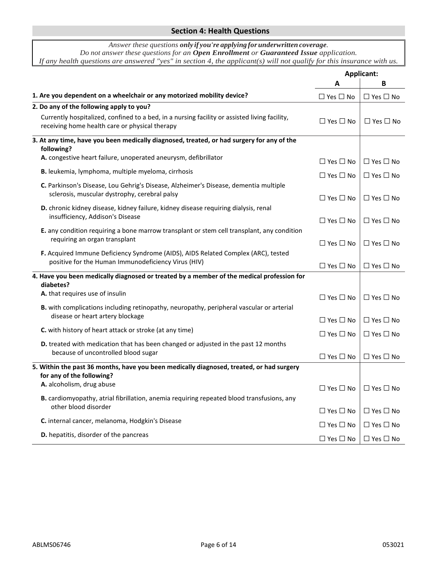#### **Section 4: Health Questions**

| Answer these questions only if you're applying for underwritten coverage.                                              |
|------------------------------------------------------------------------------------------------------------------------|
| Do not answer these questions for an Open Enrollment or Guaranteed Issue application.                                  |
| If any health questions are answered "yes" in section 4, the applicant(s) will not qualify for this insurance with us. |

|                                                                                                                                                 |                            | <b>Applicant:</b>                         |
|-------------------------------------------------------------------------------------------------------------------------------------------------|----------------------------|-------------------------------------------|
|                                                                                                                                                 | A                          | В                                         |
| 1. Are you dependent on a wheelchair or any motorized mobility device?                                                                          | $\square$ Yes $\square$ No | $\Box$ Yes $\Box$ No                      |
| 2. Do any of the following apply to you?                                                                                                        |                            |                                           |
| Currently hospitalized, confined to a bed, in a nursing facility or assisted living facility,<br>receiving home health care or physical therapy | $\Box$ Yes $\Box$ No       | $\Box$ Yes $\Box$ No                      |
| 3. At any time, have you been medically diagnosed, treated, or had surgery for any of the<br>following?                                         |                            |                                           |
| A. congestive heart failure, unoperated aneurysm, defibrillator                                                                                 | $\Box$ Yes $\Box$ No       | $\Box$ Yes $\Box$ No                      |
| B. leukemia, lymphoma, multiple myeloma, cirrhosis                                                                                              | $\Box$ Yes $\Box$ No       | $\Box$ Yes $\Box$ No                      |
| C. Parkinson's Disease, Lou Gehrig's Disease, Alzheimer's Disease, dementia multiple<br>sclerosis, muscular dystrophy, cerebral palsy           | $\Box$ Yes $\Box$ No       | $\Box$ Yes $\Box$ No                      |
| D. chronic kidney disease, kidney failure, kidney disease requiring dialysis, renal<br>insufficiency, Addison's Disease                         | $\Box$ Yes $\Box$ No       | $\Box$ Yes $\Box$ No                      |
| E. any condition requiring a bone marrow transplant or stem cell transplant, any condition<br>requiring an organ transplant                     | $\Box$ Yes $\Box$ No       | $\Box$ Yes $\Box$ No                      |
| F. Acquired Immune Deficiency Syndrome (AIDS), AIDS Related Complex (ARC), tested<br>positive for the Human Immunodeficiency Virus (HIV)        | $\Box$ Yes $\Box$ No       | $\Box$ Yes $\Box$ No                      |
| 4. Have you been medically diagnosed or treated by a member of the medical profession for<br>diabetes?                                          |                            |                                           |
| A. that requires use of insulin                                                                                                                 | $\Box$ Yes $\Box$ No       | $\Box$ Yes $\Box$ No                      |
| B. with complications including retinopathy, neuropathy, peripheral vascular or arterial                                                        |                            |                                           |
| disease or heart artery blockage                                                                                                                | $\Box$ Yes $\Box$ No       | $\Box$ Yes $\Box$ No                      |
| C. with history of heart attack or stroke (at any time)                                                                                         | $\Box$ Yes $\Box$ No       | $\Box$ Yes $\Box$ No                      |
| D. treated with medication that has been changed or adjusted in the past 12 months                                                              |                            |                                           |
| because of uncontrolled blood sugar                                                                                                             | $\Box$ Yes $\Box$ No       | $\Box$ Yes $\Box$ No                      |
| 5. Within the past 36 months, have you been medically diagnosed, treated, or had surgery<br>for any of the following?                           |                            |                                           |
| A. alcoholism, drug abuse                                                                                                                       |                            | $\Box$ Yes $\Box$ No $\Box$ Yes $\Box$ No |
| B. cardiomyopathy, atrial fibrillation, anemia requiring repeated blood transfusions, any<br>other blood disorder                               | $\Box$ Yes $\Box$ No       | $\Box$ Yes $\Box$ No                      |
| C. internal cancer, melanoma, Hodgkin's Disease                                                                                                 | $\Box$ Yes $\Box$ No       | $\Box$ Yes $\Box$ No                      |
| D. hepatitis, disorder of the pancreas                                                                                                          | $\Box$ Yes $\Box$ No       | $\Box$ Yes $\Box$ No                      |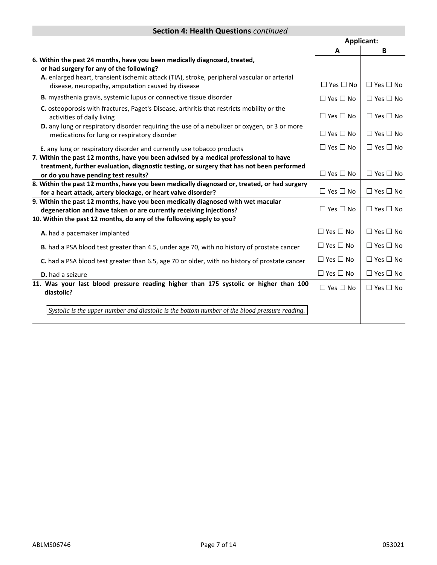#### **Section 4: Health Questions** *continued*

|                                                                                                                                                              |                      | <b>Applicant:</b>    |
|--------------------------------------------------------------------------------------------------------------------------------------------------------------|----------------------|----------------------|
|                                                                                                                                                              | A                    | B                    |
| 6. Within the past 24 months, have you been medically diagnosed, treated,<br>or had surgery for any of the following?                                        |                      |                      |
| A. enlarged heart, transient ischemic attack (TIA), stroke, peripheral vascular or arterial<br>disease, neuropathy, amputation caused by disease             | $\Box$ Yes $\Box$ No | $\Box$ Yes $\Box$ No |
| <b>B.</b> myasthenia gravis, systemic lupus or connective tissue disorder                                                                                    | $\Box$ Yes $\Box$ No | $\Box$ Yes $\Box$ No |
| C. osteoporosis with fractures, Paget's Disease, arthritis that restricts mobility or the<br>activities of daily living                                      | $\Box$ Yes $\Box$ No | $\Box$ Yes $\Box$ No |
| D. any lung or respiratory disorder requiring the use of a nebulizer or oxygen, or 3 or more<br>medications for lung or respiratory disorder                 | $\Box$ Yes $\Box$ No | $\Box$ Yes $\Box$ No |
| E. any lung or respiratory disorder and currently use tobacco products                                                                                       | $\Box$ Yes $\Box$ No | $\Box$ Yes $\Box$ No |
| 7. Within the past 12 months, have you been advised by a medical professional to have                                                                        |                      |                      |
| treatment, further evaluation, diagnostic testing, or surgery that has not been performed<br>or do you have pending test results?                            | $\Box$ Yes $\Box$ No | $\Box$ Yes $\Box$ No |
| 8. Within the past 12 months, have you been medically diagnosed or, treated, or had surgery<br>for a heart attack, artery blockage, or heart valve disorder? | $\Box$ Yes $\Box$ No | $\Box$ Yes $\Box$ No |
| 9. Within the past 12 months, have you been medically diagnosed with wet macular<br>degeneration and have taken or are currently receiving injections?       | $\Box$ Yes $\Box$ No | $\Box$ Yes $\Box$ No |
| 10. Within the past 12 months, do any of the following apply to you?                                                                                         |                      |                      |
| A. had a pacemaker implanted                                                                                                                                 | $\Box$ Yes $\Box$ No | $\Box$ Yes $\Box$ No |
| B. had a PSA blood test greater than 4.5, under age 70, with no history of prostate cancer                                                                   | $\Box$ Yes $\Box$ No | $\Box$ Yes $\Box$ No |
| C. had a PSA blood test greater than 6.5, age 70 or older, with no history of prostate cancer                                                                | $\Box$ Yes $\Box$ No | $\Box$ Yes $\Box$ No |
| <b>D.</b> had a seizure                                                                                                                                      | $\Box$ Yes $\Box$ No | $\Box$ Yes $\Box$ No |
| 11. Was your last blood pressure reading higher than 175 systolic or higher than 100<br>diastolic?                                                           | $\Box$ Yes $\Box$ No | $\Box$ Yes $\Box$ No |
| Systolic is the upper number and diastolic is the bottom number of the blood pressure reading.                                                               |                      |                      |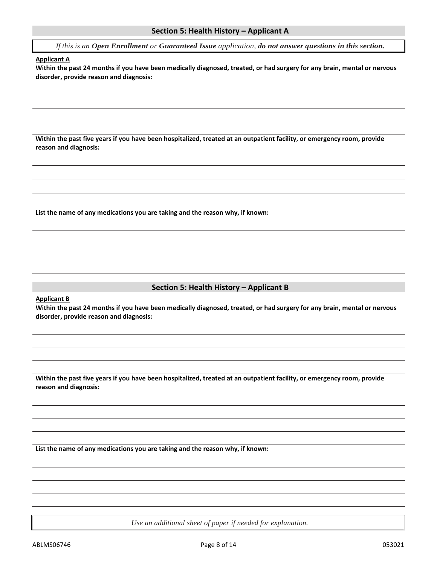*If this is an Open Enrollment or Guaranteed Issue application, do not answer questions in this section.*

#### **Applicant A**

**Within the past 24 months if you have been medically diagnosed, treated, or had surgery for any brain, mental or nervous disorder, provide reason and diagnosis:**

**Within the past five years if you have been hospitalized, treated at an outpatient facility, or emergency room, provide reason and diagnosis:**

**List the name of any medications you are taking and the reason why, if known:**

#### **Section 5: Health History – Applicant B**

**Applicant B**

**Within the past 24 months if you have been medically diagnosed, treated, or had surgery for any brain, mental or nervous disorder, provide reason and diagnosis:**

**Within the past five years if you have been hospitalized, treated at an outpatient facility, or emergency room, provide reason and diagnosis:**

**List the name of any medications you are taking and the reason why, if known:**

*Use an additional sheet of paper if needed for explanation.*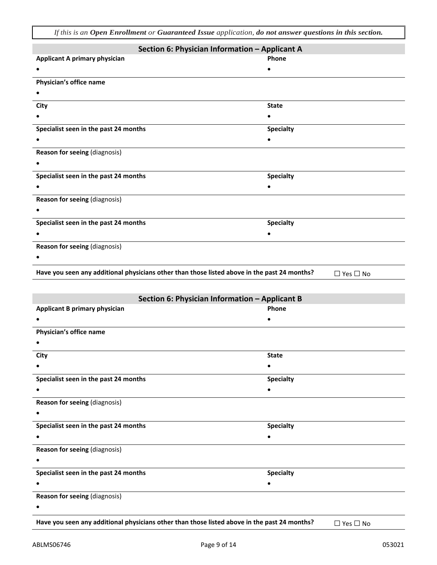*If this is an Open Enrollment or Guaranteed Issue application, do not answer questions in this section.*

| Section 6: Physician Information - Applicant A                                               |                      |
|----------------------------------------------------------------------------------------------|----------------------|
| <b>Applicant A primary physician</b>                                                         | Phone                |
| ٠                                                                                            |                      |
| Physician's office name                                                                      |                      |
| $\bullet$                                                                                    |                      |
| City                                                                                         | <b>State</b>         |
| $\bullet$                                                                                    | ٠                    |
| Specialist seen in the past 24 months                                                        | <b>Specialty</b>     |
| $\bullet$                                                                                    |                      |
| Reason for seeing (diagnosis)                                                                |                      |
|                                                                                              |                      |
| Specialist seen in the past 24 months                                                        | <b>Specialty</b>     |
| $\bullet$                                                                                    |                      |
| Reason for seeing (diagnosis)                                                                |                      |
| $\bullet$                                                                                    |                      |
| Specialist seen in the past 24 months                                                        | <b>Specialty</b>     |
|                                                                                              |                      |
| Reason for seeing (diagnosis)                                                                |                      |
|                                                                                              |                      |
| Have you seen any additional physicians other than those listed above in the past 24 months? | $\Box$ Yes $\Box$ No |
|                                                                                              |                      |
| Section 6: Physician Information - Applicant B                                               |                      |
| <b>Applicant B primary physician</b>                                                         | Phone                |
|                                                                                              |                      |
| Physician's office name                                                                      |                      |
|                                                                                              |                      |
| City                                                                                         | <b>State</b>         |
|                                                                                              |                      |
| Specialist seen in the past 24 months                                                        | <b>Specialty</b>     |
| $\bullet$                                                                                    |                      |
| Reason for seeing (diagnosis)                                                                |                      |
| ٠                                                                                            |                      |
| Specialist seen in the past 24 months                                                        | <b>Specialty</b>     |
| $\bullet$                                                                                    | $\bullet$            |
| Reason for seeing (diagnosis)                                                                |                      |
|                                                                                              |                      |
| Specialist seen in the past 24 months                                                        | <b>Specialty</b>     |
| $\bullet$                                                                                    | ٠                    |
| Reason for seeing (diagnosis)                                                                |                      |
| ٠                                                                                            |                      |
| Have you seen any additional physicians other than those listed above in the past 24 months? | $\Box$ Yes $\Box$ No |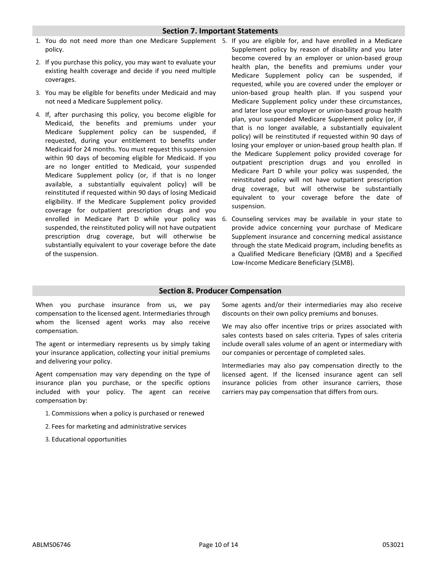#### **Section 7. Important Statements**

- 1. You do not need more than one Medicare Supplement 5. If you are eligible for, and have enrolled in a Medicare policy.
- 2. If you purchase this policy, you may want to evaluate your existing health coverage and decide if you need multiple coverages.
- 3. You may be eligible for benefits under Medicaid and may not need a Medicare Supplement policy.
- 4. If, after purchasing this policy, you become eligible for Medicaid, the benefits and premiums under your Medicare Supplement policy can be suspended, if requested, during your entitlement to benefits under Medicaid for 24 months. You must request this suspension within 90 days of becoming eligible for Medicaid. If you are no longer entitled to Medicaid, your suspended Medicare Supplement policy (or, if that is no longer available, a substantially equivalent policy) will be reinstituted if requested within 90 days of losing Medicaid eligibility. If the Medicare Supplement policy provided coverage for outpatient prescription drugs and you suspended, the reinstituted policy will not have outpatient prescription drug coverage, but will otherwise be substantially equivalent to your coverage before the date of the suspension.
- Supplement policy by reason of disability and you later become covered by an employer or union-based group health plan, the benefits and premiums under your Medicare Supplement policy can be suspended, if requested, while you are covered under the employer or union-based group health plan. If you suspend your Medicare Supplement policy under these circumstances, and later lose your employer or union-based group health plan, your suspended Medicare Supplement policy (or, if that is no longer available, a substantially equivalent policy) will be reinstituted if requested within 90 days of losing your employer or union-based group health plan. If the Medicare Supplement policy provided coverage for outpatient prescription drugs and you enrolled in Medicare Part D while your policy was suspended, the reinstituted policy will not have outpatient prescription drug coverage, but will otherwise be substantially equivalent to your coverage before the date of suspension.
- enrolled in Medicare Part D while your policy was 6. Counseling services may be available in your state to provide advice concerning your purchase of Medicare Supplement insurance and concerning medical assistance through the state Medicaid program, including benefits as a Qualified Medicare Beneficiary (QMB) and a Specified Low-Income Medicare Beneficiary (SLMB).

#### **Section 8. Producer Compensation**

When you purchase insurance from us, we pay compensation to the licensed agent. Intermediaries through whom the licensed agent works may also receive compensation.

The agent or intermediary represents us by simply taking your insurance application, collecting your initial premiums and delivering your policy.

Agent compensation may vary depending on the type of insurance plan you purchase, or the specific options included with your policy. The agent can receive compensation by:

- 1. Commissions when a policy is purchased or renewed
- 2. Fees for marketing and administrative services
- 3. Educational opportunities

Some agents and/or their intermediaries may also receive discounts on their own policy premiums and bonuses.

We may also offer incentive trips or prizes associated with sales contests based on sales criteria. Types of sales criteria include overall sales volume of an agent or intermediary with our companies or percentage of completed sales.

Intermediaries may also pay compensation directly to the licensed agent. If the licensed insurance agent can sell insurance policies from other insurance carriers, those carriers may pay compensation that differs from ours.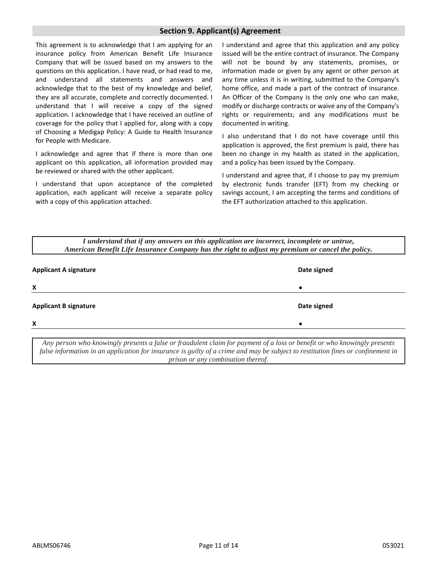#### **Section 9. Applicant(s) Agreement**

This agreement is to acknowledge that I am applying for an insurance policy from American Benefit Life Insurance Company that will be issued based on my answers to the questions on this application. I have read, or had read to me, and understand all statements and answers and acknowledge that to the best of my knowledge and belief, they are all accurate, complete and correctly documented. I understand that I will receive a copy of the signed application. I acknowledge that I have received an outline of coverage for the policy that I applied for, along with a copy of Choosing a Medigap Policy: A Guide to Health Insurance for People with Medicare.

I acknowledge and agree that if there is more than one applicant on this application, all information provided may be reviewed or shared with the other applicant.

I understand that upon acceptance of the completed application, each applicant will receive a separate policy with a copy of this application attached.

I understand and agree that this application and any policy issued will be the entire contract of insurance. The Company will not be bound by any statements, promises, or information made or given by any agent or other person at any time unless it is in writing, submitted to the Company's home office, and made a part of the contract of insurance. An Officer of the Company is the only one who can make, modify or discharge contracts or waive any of the Company's rights or requirements; and any modifications must be documented in writing.

I also understand that I do not have coverage until this application is approved, the first premium is paid, there has been no change in my health as stated in the application, and a policy has been issued by the Company.

I understand and agree that, if I choose to pay my premium by electronic funds transfer (EFT) from my checking or savings account, I am accepting the terms and conditions of the EFT authorization attached to this application.

*I understand that if any answers on this application are incorrect, incomplete or untrue, American Benefit Life Insurance Company has the right to adjust my premium or cancel the policy.*

| <b>Applicant A signature</b> | Date signed |
|------------------------------|-------------|
| X                            | $\bullet$   |
| <b>Applicant B signature</b> | Date signed |
| X                            | $\bullet$   |

*Any person who knowingly presents a false or fraudulent claim for payment of a loss or benefit or who knowingly presents false information in an application for insurance is guilty of a crime and may be subject to restitution fines or confinement in prison or any combination thereof.*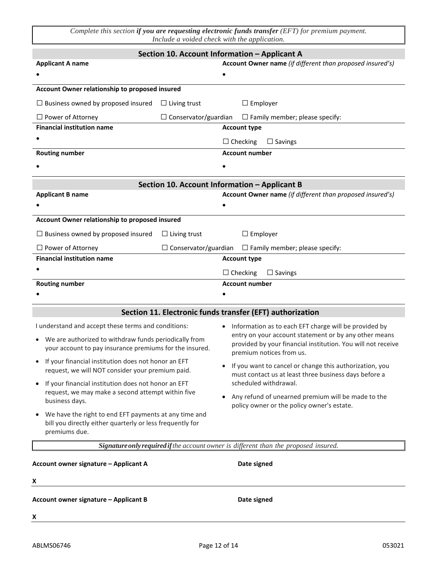*Complete this section if you are requesting electronic funds transfer (EFT) for premium payment. Include a voided check with the application.*

|                                                                                                                                          |                             | Section 10. Account Information - Applicant A                                                                                                     |
|------------------------------------------------------------------------------------------------------------------------------------------|-----------------------------|---------------------------------------------------------------------------------------------------------------------------------------------------|
| <b>Applicant A name</b>                                                                                                                  |                             | Account Owner name (if different than proposed insured's)                                                                                         |
|                                                                                                                                          |                             |                                                                                                                                                   |
| Account Owner relationship to proposed insured                                                                                           |                             |                                                                                                                                                   |
| $\Box$ Business owned by proposed insured                                                                                                | $\Box$ Living trust         | $\Box$ Employer                                                                                                                                   |
| $\Box$ Power of Attorney                                                                                                                 | $\Box$ Conservator/guardian | $\Box$ Family member; please specify:                                                                                                             |
| <b>Financial institution name</b>                                                                                                        |                             | <b>Account type</b>                                                                                                                               |
|                                                                                                                                          |                             | $\Box$ Checking<br>$\Box$ Savings                                                                                                                 |
| <b>Routing number</b>                                                                                                                    |                             | <b>Account number</b>                                                                                                                             |
|                                                                                                                                          |                             |                                                                                                                                                   |
|                                                                                                                                          |                             | Section 10. Account Information - Applicant B                                                                                                     |
| <b>Applicant B name</b>                                                                                                                  |                             | Account Owner name (if different than proposed insured's)                                                                                         |
|                                                                                                                                          |                             |                                                                                                                                                   |
| Account Owner relationship to proposed insured                                                                                           |                             |                                                                                                                                                   |
| $\Box$ Business owned by proposed insured                                                                                                | $\Box$ Living trust         | $\Box$ Employer                                                                                                                                   |
| $\Box$ Power of Attorney                                                                                                                 | $\Box$ Conservator/guardian | $\Box$ Family member; please specify:                                                                                                             |
| <b>Financial institution name</b>                                                                                                        |                             | <b>Account type</b>                                                                                                                               |
|                                                                                                                                          |                             | $\Box$ Checking<br>$\Box$ Savings                                                                                                                 |
| <b>Routing number</b>                                                                                                                    |                             | <b>Account number</b>                                                                                                                             |
|                                                                                                                                          |                             |                                                                                                                                                   |
|                                                                                                                                          |                             | Section 11. Electronic funds transfer (EFT) authorization                                                                                         |
| I understand and accept these terms and conditions:                                                                                      |                             | Information as to each EFT charge will be provided by<br>$\bullet$                                                                                |
| • We are authorized to withdraw funds periodically from<br>your account to pay insurance premiums for the insured.                       |                             | entry on your account statement or by any other means<br>provided by your financial institution. You will not receive<br>premium notices from us. |
| • If your financial institution does not honor an EFT<br>request, we will NOT consider your premium paid.                                |                             | • If you want to cancel or change this authorization, you<br>must contact us at least three business days before a                                |
| If your financial institution does not honor an EFT<br>$\bullet$<br>request, we may make a second attempt within five<br>business days.  |                             | scheduled withdrawal.<br>Any refund of unearned premium will be made to the<br>policy owner or the policy owner's estate.                         |
| We have the right to end EFT payments at any time and<br>٠<br>bill you directly either quarterly or less frequently for<br>premiums due. |                             |                                                                                                                                                   |
|                                                                                                                                          |                             | Signature only required if the account owner is different than the proposed insured.                                                              |
| Account owner signature - Applicant A                                                                                                    |                             | Date signed                                                                                                                                       |
| x                                                                                                                                        |                             |                                                                                                                                                   |
| Account owner signature - Applicant B                                                                                                    |                             | Date signed                                                                                                                                       |

**X**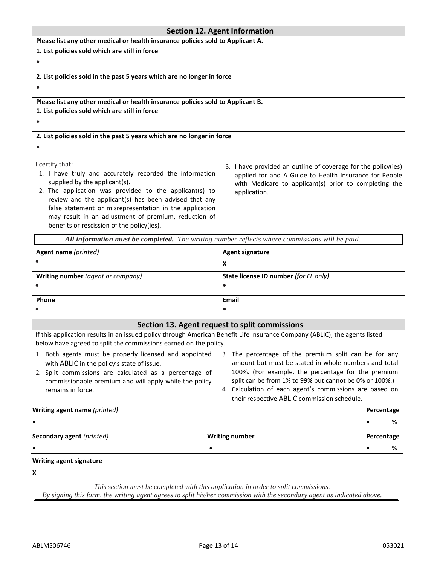#### **Section 12. Agent Information**

**Please list any other medical or health insurance policies sold to Applicant A.**

**1. List policies sold which are still in force**

#### •

**2. List policies sold in the past 5 years which are no longer in force**

•

**Please list any other medical or health insurance policies sold to Applicant B. 1. List policies sold which are still in force**

#### •

**2. List policies sold in the past 5 years which are no longer in force**

### •

I certify that:

- 1. I have truly and accurately recorded the information supplied by the applicant(s).
- 2. The application was provided to the applicant(s) to review and the applicant(s) has been advised that any false statement or misrepresentation in the application may result in an adjustment of premium, reduction of benefits or rescission of the policy(ies).
- 3. I have provided an outline of coverage for the policy(ies) applied for and A Guide to Health Insurance for People with Medicare to applicant(s) prior to completing the application.

*All information must be completed. The writing number reflects where commissions will be paid.*

| Agent name (printed)              | <b>Agent signature</b>                |
|-----------------------------------|---------------------------------------|
| $\bullet$                         | х                                     |
| Writing number (agent or company) | State license ID number (for FL only) |
| $\bullet$                         |                                       |
| Phone                             | Email                                 |
| $\bullet$                         |                                       |

#### **Section 13. Agent request to split commissions**

If this application results in an issued policy through American Benefit Life Insurance Company (ABLIC), the agents listed below have agreed to split the commissions earned on the policy.

- 1. Both agents must be properly licensed and appointed with ABLIC in the policy's state of issue.
- 2. Split commissions are calculated as a percentage of commissionable premium and will apply while the policy remains in force.
- 3. The percentage of the premium split can be for any amount but must be stated in whole numbers and total 100%. (For example, the percentage for the premium split can be from 1% to 99% but cannot be 0% or 100%.)
- 4. Calculation of each agent's commissions are based on their respective ABLIC commission schedule.

#### **Writing agent name** *(printed)* **Percentage**

• • %

**Secondary agent** *(printed)* **Writing number Percentage**

• • • %

#### **Writing agent signature**

**X** 

*This section must be completed with this application in order to split commissions. By signing this form, the writing agent agrees to split his/her commission with the secondary agent as indicated above.*